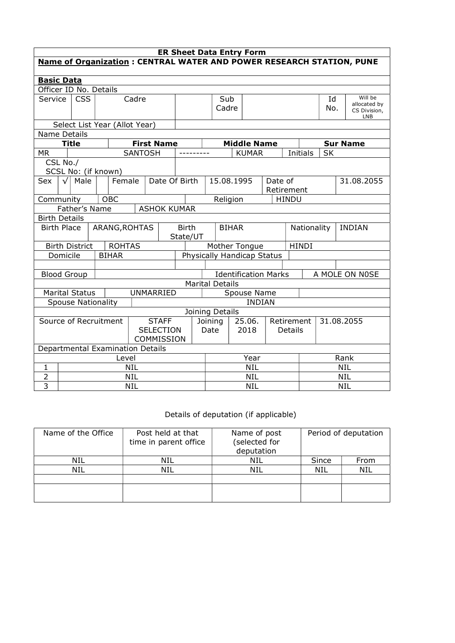| <b>ER Sheet Data Entry Form</b>                                       |                                                                        |                           |  |                                  |                              |                   |                                                                         |                               |                              |  |                              |                              |            |                              |           |  |                 |
|-----------------------------------------------------------------------|------------------------------------------------------------------------|---------------------------|--|----------------------------------|------------------------------|-------------------|-------------------------------------------------------------------------|-------------------------------|------------------------------|--|------------------------------|------------------------------|------------|------------------------------|-----------|--|-----------------|
| Name of Organization : CENTRAL WATER AND POWER RESEARCH STATION, PUNE |                                                                        |                           |  |                                  |                              |                   |                                                                         |                               |                              |  |                              |                              |            |                              |           |  |                 |
|                                                                       |                                                                        |                           |  |                                  |                              |                   |                                                                         |                               |                              |  |                              |                              |            |                              |           |  |                 |
| <b>Basic Data</b>                                                     |                                                                        |                           |  |                                  |                              |                   |                                                                         |                               |                              |  |                              |                              |            |                              |           |  |                 |
|                                                                       | Officer ID No. Details<br>Service<br><b>CSS</b><br>Cadre               |                           |  |                                  |                              |                   | Sub                                                                     |                               |                              |  |                              |                              | Id         |                              | Will be   |  |                 |
|                                                                       |                                                                        |                           |  |                                  |                              | Cadre             |                                                                         |                               |                              |  |                              | No.                          |            | allocated by<br>CS Division, |           |  |                 |
|                                                                       |                                                                        |                           |  |                                  |                              |                   |                                                                         |                               |                              |  |                              |                              |            |                              |           |  | LNB             |
| Select List Year (Allot Year)                                         |                                                                        |                           |  |                                  |                              |                   |                                                                         |                               |                              |  |                              |                              |            |                              |           |  |                 |
| <b>Name Details</b>                                                   |                                                                        |                           |  |                                  |                              |                   |                                                                         |                               |                              |  |                              |                              |            |                              |           |  |                 |
|                                                                       |                                                                        | <b>Title</b>              |  |                                  |                              | <b>First Name</b> |                                                                         |                               |                              |  | <b>Middle Name</b>           |                              |            |                              |           |  | <b>Sur Name</b> |
| <b>MR</b>                                                             |                                                                        |                           |  |                                  | <b>SANTOSH</b>               |                   |                                                                         |                               |                              |  | <b>KUMAR</b>                 |                              |            | <b>Initials</b>              | <b>SK</b> |  |                 |
|                                                                       | CSL No./                                                               |                           |  |                                  |                              |                   |                                                                         |                               |                              |  |                              |                              |            |                              |           |  |                 |
| Sex                                                                   | $\sqrt{ }$                                                             |                           |  | SCSL No: (if known)              |                              |                   |                                                                         |                               |                              |  |                              |                              |            |                              |           |  | 31.08.2055      |
|                                                                       | Male<br>Female<br>Date Of Birth<br>15.08.1995<br>Date of<br>Retirement |                           |  |                                  |                              |                   |                                                                         |                               |                              |  |                              |                              |            |                              |           |  |                 |
| <b>OBC</b><br>Religion<br><b>HINDU</b><br>Community                   |                                                                        |                           |  |                                  |                              |                   |                                                                         |                               |                              |  |                              |                              |            |                              |           |  |                 |
|                                                                       | Father's Name<br><b>ASHOK KUMAR</b>                                    |                           |  |                                  |                              |                   |                                                                         |                               |                              |  |                              |                              |            |                              |           |  |                 |
| <b>Birth Details</b>                                                  |                                                                        |                           |  |                                  |                              |                   |                                                                         |                               |                              |  |                              |                              |            |                              |           |  |                 |
|                                                                       | ARANG, ROHTAS<br><b>Birth Place</b>                                    |                           |  |                                  | <b>Birth</b><br><b>BIHAR</b> |                   |                                                                         |                               | Nationality<br><b>INDIAN</b> |  |                              |                              |            |                              |           |  |                 |
|                                                                       |                                                                        |                           |  |                                  |                              |                   |                                                                         | State/UT                      |                              |  |                              |                              |            |                              |           |  |                 |
|                                                                       |                                                                        | <b>Birth District</b>     |  | <b>ROHTAS</b>                    |                              |                   |                                                                         | <b>HINDI</b><br>Mother Tongue |                              |  |                              |                              |            |                              |           |  |                 |
|                                                                       | Domicile                                                               |                           |  | <b>BIHAR</b>                     |                              |                   | Physically Handicap Status                                              |                               |                              |  |                              |                              |            |                              |           |  |                 |
|                                                                       |                                                                        |                           |  |                                  |                              |                   |                                                                         |                               |                              |  |                              |                              |            |                              |           |  |                 |
|                                                                       |                                                                        | <b>Blood Group</b>        |  |                                  |                              |                   | <b>Identification Marks</b><br>A MOLE ON N0SE<br><b>Marital Details</b> |                               |                              |  |                              |                              |            |                              |           |  |                 |
|                                                                       |                                                                        |                           |  |                                  |                              |                   |                                                                         |                               |                              |  |                              |                              |            |                              |           |  |                 |
|                                                                       |                                                                        | <b>Marital Status</b>     |  |                                  |                              | UNMARRIED         |                                                                         |                               |                              |  | Spouse Name<br><b>INDIAN</b> |                              |            |                              |           |  |                 |
|                                                                       |                                                                        | <b>Spouse Nationality</b> |  |                                  |                              |                   |                                                                         |                               | Joining Details              |  |                              |                              |            |                              |           |  |                 |
|                                                                       |                                                                        |                           |  | Source of Recruitment            |                              | <b>STAFF</b>      |                                                                         | Joining                       |                              |  | 25.06.                       |                              |            |                              |           |  |                 |
|                                                                       |                                                                        |                           |  |                                  |                              | <b>SELECTION</b>  |                                                                         |                               | 2018<br>Date                 |  |                              | Retirement<br><b>Details</b> |            | 31.08.2055                   |           |  |                 |
|                                                                       |                                                                        |                           |  |                                  |                              | COMMISSION        |                                                                         |                               |                              |  |                              |                              |            |                              |           |  |                 |
|                                                                       |                                                                        |                           |  | Departmental Examination Details |                              |                   |                                                                         |                               |                              |  |                              |                              |            |                              |           |  |                 |
|                                                                       |                                                                        |                           |  | Level                            |                              |                   |                                                                         |                               |                              |  | Year                         |                              |            | Rank                         |           |  |                 |
| $\mathbf{1}$                                                          |                                                                        |                           |  |                                  | <b>NIL</b>                   |                   |                                                                         |                               | <b>NIL</b>                   |  |                              |                              |            | <b>NIL</b>                   |           |  |                 |
| $\overline{2}$                                                        |                                                                        |                           |  |                                  | <b>NIL</b>                   |                   |                                                                         |                               | <b>NIL</b>                   |  |                              |                              | <b>NIL</b> |                              |           |  |                 |
| $\overline{3}$                                                        | <b>NIL</b>                                                             |                           |  |                                  |                              |                   |                                                                         | <b>NIL</b>                    |                              |  |                              | <b>NIL</b>                   |            |                              |           |  |                 |

## Details of deputation (if applicable)

|     | deputation | Period of deputation |      |  |
|-----|------------|----------------------|------|--|
| NIL | NIL        | Since                | From |  |
| NIL | NIL        | NIL                  | NIL  |  |
|     |            |                      |      |  |
|     |            |                      |      |  |
|     |            |                      |      |  |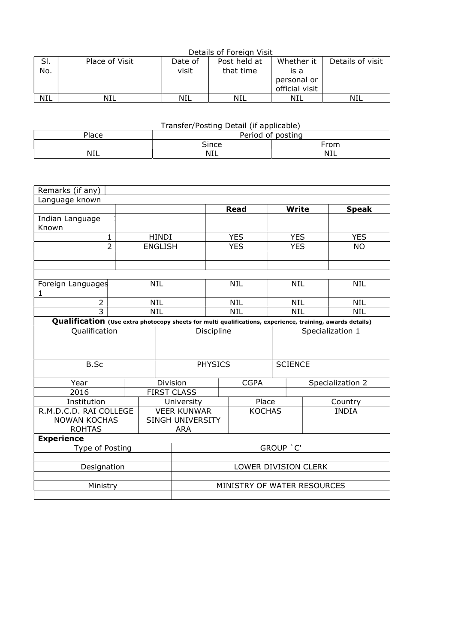|            | Details of Foreign Visit |         |              |                |                  |  |  |  |  |  |  |  |
|------------|--------------------------|---------|--------------|----------------|------------------|--|--|--|--|--|--|--|
|            | Place of Visit           | Date of | Post held at | Whether it     | Details of visit |  |  |  |  |  |  |  |
| No.        |                          | visit   | that time    | is a           |                  |  |  |  |  |  |  |  |
|            |                          |         |              | personal or    |                  |  |  |  |  |  |  |  |
|            |                          |         |              | official visit |                  |  |  |  |  |  |  |  |
| <b>NIL</b> | NIL                      | NIL     | NIL          | NIL            | NIL              |  |  |  |  |  |  |  |

| Transfer/Posting Detail (if applicable) |                   |      |  |  |  |  |  |  |  |  |
|-----------------------------------------|-------------------|------|--|--|--|--|--|--|--|--|
| Place                                   | Period of posting |      |  |  |  |  |  |  |  |  |
|                                         | Since             | From |  |  |  |  |  |  |  |  |
| <b>NIL</b>                              | NIL               | NIL  |  |  |  |  |  |  |  |  |

| Remarks (if any)                                                                                          |                |                |                                                                       |                      |                |                  |                  |              |  |  |
|-----------------------------------------------------------------------------------------------------------|----------------|----------------|-----------------------------------------------------------------------|----------------------|----------------|------------------|------------------|--------------|--|--|
| Language known                                                                                            |                |                |                                                                       |                      |                |                  |                  |              |  |  |
|                                                                                                           |                |                |                                                                       |                      | <b>Read</b>    | <b>Write</b>     |                  | <b>Speak</b> |  |  |
| Indian Language<br>Known                                                                                  |                |                |                                                                       |                      |                |                  |                  |              |  |  |
| 1                                                                                                         |                | <b>HINDI</b>   |                                                                       |                      | <b>YES</b>     | <b>YES</b>       |                  | <b>YES</b>   |  |  |
| $\overline{2}$                                                                                            |                | <b>ENGLISH</b> |                                                                       |                      | <b>YES</b>     | <b>YES</b>       |                  | <b>NO</b>    |  |  |
|                                                                                                           |                |                |                                                                       |                      |                |                  |                  |              |  |  |
|                                                                                                           |                |                |                                                                       |                      |                |                  |                  |              |  |  |
|                                                                                                           |                |                |                                                                       |                      |                |                  |                  |              |  |  |
| Foreign Languages<br>1                                                                                    |                | <b>NIL</b>     |                                                                       |                      | <b>NIL</b>     | <b>NIL</b>       |                  | <b>NIL</b>   |  |  |
| 2                                                                                                         |                | <b>NIL</b>     |                                                                       |                      | <b>NIL</b>     | <b>NIL</b>       |                  | <b>NIL</b>   |  |  |
| 3                                                                                                         |                | <b>NIL</b>     | <b>NIL</b>                                                            |                      |                | <b>NIL</b>       |                  | <b>NIL</b>   |  |  |
| Qualification (Use extra photocopy sheets for multi qualifications, experience, training, awards details) |                |                |                                                                       |                      |                |                  |                  |              |  |  |
| Qualification                                                                                             | Discipline     |                |                                                                       |                      |                | Specialization 1 |                  |              |  |  |
| <b>B.Sc</b>                                                                                               | <b>PHYSICS</b> |                |                                                                       |                      | <b>SCIENCE</b> |                  |                  |              |  |  |
| Year                                                                                                      |                |                | <b>CGPA</b><br>Division                                               |                      |                |                  | Specialization 2 |              |  |  |
| 2016                                                                                                      |                |                | <b>FIRST CLASS</b>                                                    |                      |                |                  |                  |              |  |  |
| Institution                                                                                               |                |                | University                                                            |                      |                | Place            |                  | Country      |  |  |
| R.M.D.C.D. RAI COLLEGE<br><b>NOWAN KOCHAS</b><br><b>ROHTAS</b>                                            |                |                | <b>VEER KUNWAR</b><br><b>KOCHAS</b><br>SINGH UNIVERSITY<br><b>ARA</b> |                      |                |                  | <b>INDIA</b>     |              |  |  |
| <b>Experience</b>                                                                                         |                |                |                                                                       |                      |                |                  |                  |              |  |  |
| Type of Posting                                                                                           | GROUP 'C'      |                |                                                                       |                      |                |                  |                  |              |  |  |
|                                                                                                           |                |                |                                                                       |                      |                |                  |                  |              |  |  |
| Designation                                                                                               |                |                |                                                                       | LOWER DIVISION CLERK |                |                  |                  |              |  |  |
|                                                                                                           |                |                |                                                                       |                      |                |                  |                  |              |  |  |
| Ministry                                                                                                  |                |                | MINISTRY OF WATER RESOURCES                                           |                      |                |                  |                  |              |  |  |
|                                                                                                           |                |                |                                                                       |                      |                |                  |                  |              |  |  |